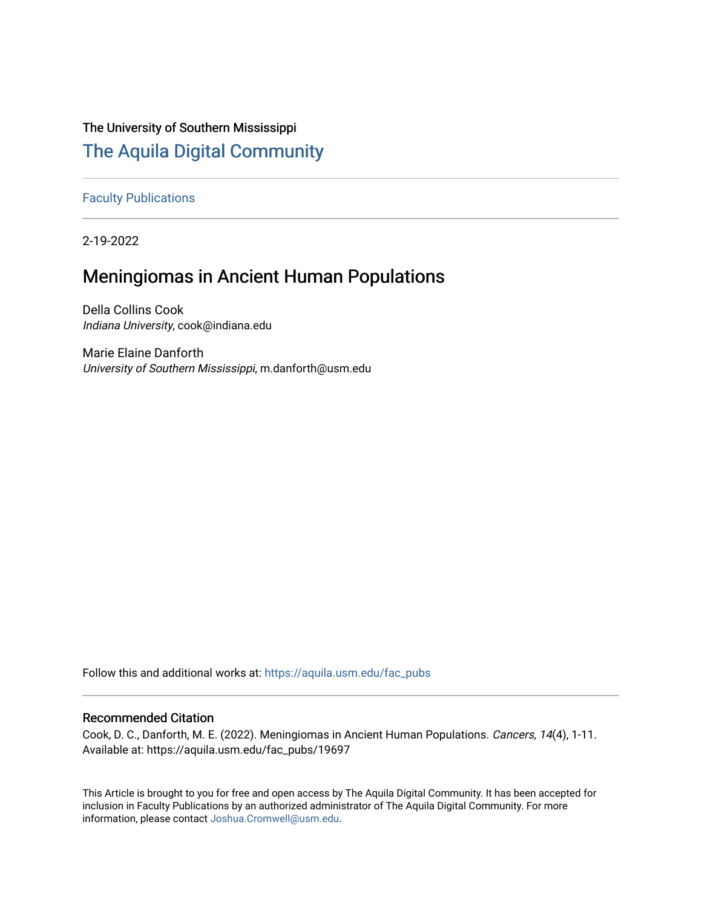# The University of Southern Mississippi

# [The Aquila Digital Community](https://aquila.usm.edu/)

[Faculty Publications](https://aquila.usm.edu/fac_pubs)

2-19-2022

# Meningiomas in Ancient Human Populations

Della Collins Cook Indiana University, cook@indiana.edu

Marie Elaine Danforth University of Southern Mississippi, m.danforth@usm.edu

Follow this and additional works at: [https://aquila.usm.edu/fac\\_pubs](https://aquila.usm.edu/fac_pubs?utm_source=aquila.usm.edu%2Ffac_pubs%2F19697&utm_medium=PDF&utm_campaign=PDFCoverPages) 

## Recommended Citation

Cook, D. C., Danforth, M. E. (2022). Meningiomas in Ancient Human Populations. Cancers, 14(4), 1-11. Available at: https://aquila.usm.edu/fac\_pubs/19697

This Article is brought to you for free and open access by The Aquila Digital Community. It has been accepted for inclusion in Faculty Publications by an authorized administrator of The Aquila Digital Community. For more information, please contact [Joshua.Cromwell@usm.edu.](mailto:Joshua.Cromwell@usm.edu)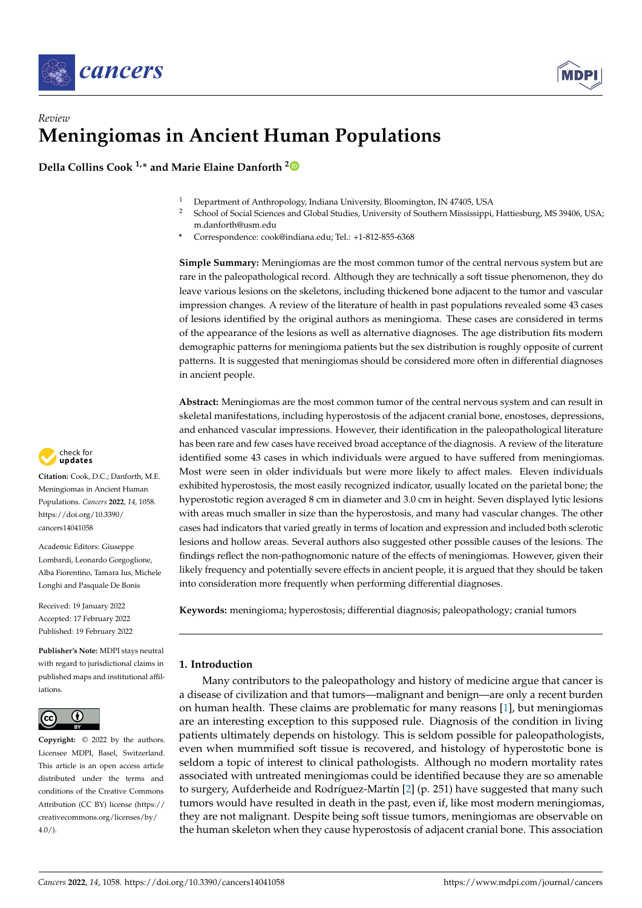



## *Review* **Meningiomas in Ancient Human Populations**

**Della Collins Cook 1,\* and Marie Elaine Danforth [2](https://orcid.org/0000-0003-1678-1078)**

- <sup>1</sup> Department of Anthropology, Indiana University, Bloomington, IN 47405, USA<br><sup>2</sup> Sebasel of Social Sciences and Clabal Studies, University of Southern Mississippi
- <sup>2</sup> School of Social Sciences and Global Studies, University of Southern Mississippi, Hattiesburg, MS 39406, USA; m.danforth@usm.edu
- **\*** Correspondence: cook@indiana.edu; Tel.: +1-812-855-6368

**Simple Summary:** Meningiomas are the most common tumor of the central nervous system but are rare in the paleopathological record. Although they are technically a soft tissue phenomenon, they do leave various lesions on the skeletons, including thickened bone adjacent to the tumor and vascular impression changes. A review of the literature of health in past populations revealed some 43 cases of lesions identified by the original authors as meningioma. These cases are considered in terms of the appearance of the lesions as well as alternative diagnoses. The age distribution fits modern demographic patterns for meningioma patients but the sex distribution is roughly opposite of current patterns. It is suggested that meningiomas should be considered more often in differential diagnoses in ancient people.

**Abstract:** Meningiomas are the most common tumor of the central nervous system and can result in skeletal manifestations, including hyperostosis of the adjacent cranial bone, enostoses, depressions, and enhanced vascular impressions. However, their identification in the paleopathological literature has been rare and few cases have received broad acceptance of the diagnosis. A review of the literature identified some 43 cases in which individuals were argued to have suffered from meningiomas. Most were seen in older individuals but were more likely to affect males. Eleven individuals exhibited hyperostosis, the most easily recognized indicator, usually located on the parietal bone; the hyperostotic region averaged 8 cm in diameter and 3.0 cm in height. Seven displayed lytic lesions with areas much smaller in size than the hyperostosis, and many had vascular changes. The other cases had indicators that varied greatly in terms of location and expression and included both sclerotic lesions and hollow areas. Several authors also suggested other possible causes of the lesions. The findings reflect the non-pathognomonic nature of the effects of meningiomas. However, given their likely frequency and potentially severe effects in ancient people, it is argued that they should be taken into consideration more frequently when performing differential diagnoses.

**Keywords:** meningioma; hyperostosis; differential diagnosis; paleopathology; cranial tumors

### **1. Introduction**

Many contributors to the paleopathology and history of medicine argue that cancer is a disease of civilization and that tumors—malignant and benign—are only a recent burden on human health. These claims are problematic for many reasons [\[1\]](#page-9-0), but meningiomas are an interesting exception to this supposed rule. Diagnosis of the condition in living patients ultimately depends on histology. This is seldom possible for paleopathologists, even when mummified soft tissue is recovered, and histology of hyperostotic bone is seldom a topic of interest to clinical pathologists. Although no modern mortality rates associated with untreated meningiomas could be identified because they are so amenable to surgery, Aufderheide and Rodríguez-Martín [\[2\]](#page-9-1) (p. 251) have suggested that many such tumors would have resulted in death in the past, even if, like most modern meningiomas, they are not malignant. Despite being soft tissue tumors, meningiomas are observable on the human skeleton when they cause hyperostosis of adjacent cranial bone. This association



**Citation:** Cook, D.C.; Danforth, M.E. Meningiomas in Ancient Human Populations. *Cancers* **2022**, *14*, 1058. [https://doi.org/10.3390/](https://doi.org/10.3390/cancers14041058) [cancers14041058](https://doi.org/10.3390/cancers14041058)

Academic Editors: Giuseppe Lombardi, Leonardo Gorgoglione, Alba Fiorentino, Tamara Ius, Michele Longhi and Pasquale De Bonis

Received: 19 January 2022 Accepted: 17 February 2022 Published: 19 February 2022

**Publisher's Note:** MDPI stays neutral with regard to jurisdictional claims in published maps and institutional affiliations.



**Copyright:** © 2022 by the authors. Licensee MDPI, Basel, Switzerland. This article is an open access article distributed under the terms and conditions of the Creative Commons Attribution (CC BY) license [\(https://](https://creativecommons.org/licenses/by/4.0/) [creativecommons.org/licenses/by/](https://creativecommons.org/licenses/by/4.0/)  $4.0/$ ).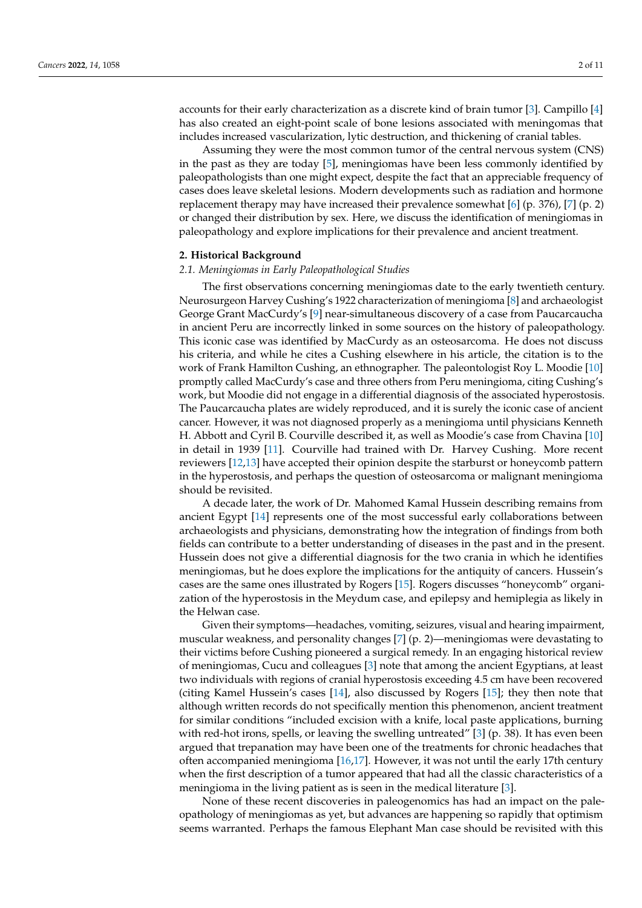accounts for their early characterization as a discrete kind of brain tumor [\[3\]](#page-9-2). Campillo [\[4\]](#page-9-3) has also created an eight-point scale of bone lesions associated with meningomas that includes increased vascularization, lytic destruction, and thickening of cranial tables.

Assuming they were the most common tumor of the central nervous system (CNS) in the past as they are today [\[5\]](#page-10-0), meningiomas have been less commonly identified by paleopathologists than one might expect, despite the fact that an appreciable frequency of cases does leave skeletal lesions. Modern developments such as radiation and hormone replacement therapy may have increased their prevalence somewhat [\[6\]](#page-10-1) (p. 376), [\[7\]](#page-10-2) (p. 2) or changed their distribution by sex. Here, we discuss the identification of meningiomas in paleopathology and explore implications for their prevalence and ancient treatment.

#### **2. Historical Background**

#### *2.1. Meningiomas in Early Paleopathological Studies*

The first observations concerning meningiomas date to the early twentieth century. Neurosurgeon Harvey Cushing's 1922 characterization of meningioma [\[8\]](#page-10-3) and archaeologist George Grant MacCurdy's [\[9\]](#page-10-4) near-simultaneous discovery of a case from Paucarcaucha in ancient Peru are incorrectly linked in some sources on the history of paleopathology. This iconic case was identified by MacCurdy as an osteosarcoma. He does not discuss his criteria, and while he cites a Cushing elsewhere in his article, the citation is to the work of Frank Hamilton Cushing, an ethnographer. The paleontologist Roy L. Moodie [\[10\]](#page-10-5) promptly called MacCurdy's case and three others from Peru meningioma, citing Cushing's work, but Moodie did not engage in a differential diagnosis of the associated hyperostosis. The Paucarcaucha plates are widely reproduced, and it is surely the iconic case of ancient cancer. However, it was not diagnosed properly as a meningioma until physicians Kenneth H. Abbott and Cyril B. Courville described it, as well as Moodie's case from Chavina [\[10\]](#page-10-5) in detail in 1939 [\[11\]](#page-10-6). Courville had trained with Dr. Harvey Cushing. More recent reviewers [\[12](#page-10-7)[,13\]](#page-10-8) have accepted their opinion despite the starburst or honeycomb pattern in the hyperostosis, and perhaps the question of osteosarcoma or malignant meningioma should be revisited.

A decade later, the work of Dr. Mahomed Kamal Hussein describing remains from ancient Egypt [\[14\]](#page-10-9) represents one of the most successful early collaborations between archaeologists and physicians, demonstrating how the integration of findings from both fields can contribute to a better understanding of diseases in the past and in the present. Hussein does not give a differential diagnosis for the two crania in which he identifies meningiomas, but he does explore the implications for the antiquity of cancers. Hussein's cases are the same ones illustrated by Rogers [\[15\]](#page-10-10). Rogers discusses "honeycomb" organization of the hyperostosis in the Meydum case, and epilepsy and hemiplegia as likely in the Helwan case.

Given their symptoms—headaches, vomiting, seizures, visual and hearing impairment, muscular weakness, and personality changes [\[7\]](#page-10-2) (p. 2)—meningiomas were devastating to their victims before Cushing pioneered a surgical remedy. In an engaging historical review of meningiomas, Cucu and colleagues [\[3\]](#page-9-2) note that among the ancient Egyptians, at least two individuals with regions of cranial hyperostosis exceeding 4.5 cm have been recovered (citing Kamel Hussein's cases [\[14\]](#page-10-9), also discussed by Rogers [\[15\]](#page-10-10); they then note that although written records do not specifically mention this phenomenon, ancient treatment for similar conditions "included excision with a knife, local paste applications, burning with red-hot irons, spells, or leaving the swelling untreated"  $[3]$  (p. 38). It has even been argued that trepanation may have been one of the treatments for chronic headaches that often accompanied meningioma [\[16,](#page-10-11)[17\]](#page-10-12). However, it was not until the early 17th century when the first description of a tumor appeared that had all the classic characteristics of a meningioma in the living patient as is seen in the medical literature [\[3\]](#page-9-2).

None of these recent discoveries in paleogenomics has had an impact on the paleopathology of meningiomas as yet, but advances are happening so rapidly that optimism seems warranted. Perhaps the famous Elephant Man case should be revisited with this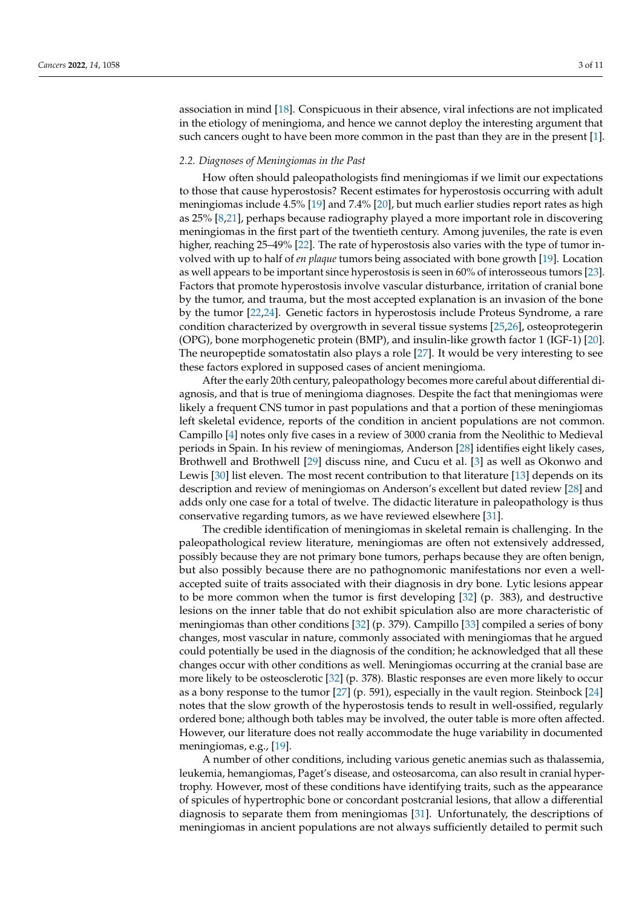association in mind [\[18\]](#page-10-13). Conspicuous in their absence, viral infections are not implicated in the etiology of meningioma, and hence we cannot deploy the interesting argument that such cancers ought to have been more common in the past than they are in the present [\[1\]](#page-9-0).

#### *2.2. Diagnoses of Meningiomas in the Past*

How often should paleopathologists find meningiomas if we limit our expectations to those that cause hyperostosis? Recent estimates for hyperostosis occurring with adult meningiomas include 4.5% [\[19\]](#page-10-14) and 7.4% [\[20\]](#page-10-15), but much earlier studies report rates as high as 25% [\[8,](#page-10-3)[21\]](#page-10-16), perhaps because radiography played a more important role in discovering meningiomas in the first part of the twentieth century. Among juveniles, the rate is even higher, reaching 25–49% [\[22\]](#page-10-17). The rate of hyperostosis also varies with the type of tumor involved with up to half of *en plaque* tumors being associated with bone growth [\[19\]](#page-10-14). Location as well appears to be important since hyperostosis is seen in 60% of interosseous tumors [\[23\]](#page-10-18). Factors that promote hyperostosis involve vascular disturbance, irritation of cranial bone by the tumor, and trauma, but the most accepted explanation is an invasion of the bone by the tumor [\[22,](#page-10-17)[24\]](#page-10-19). Genetic factors in hyperostosis include Proteus Syndrome, a rare condition characterized by overgrowth in several tissue systems [\[25,](#page-10-20)[26\]](#page-10-21), osteoprotegerin (OPG), bone morphogenetic protein (BMP), and insulin-like growth factor 1 (IGF-1) [\[20\]](#page-10-15). The neuropeptide somatostatin also plays a role [\[27\]](#page-10-22). It would be very interesting to see these factors explored in supposed cases of ancient meningioma.

After the early 20th century, paleopathology becomes more careful about differential diagnosis, and that is true of meningioma diagnoses. Despite the fact that meningiomas were likely a frequent CNS tumor in past populations and that a portion of these meningiomas left skeletal evidence, reports of the condition in ancient populations are not common. Campillo [\[4\]](#page-9-3) notes only five cases in a review of 3000 crania from the Neolithic to Medieval periods in Spain. In his review of meningiomas, Anderson [\[28\]](#page-10-23) identifies eight likely cases, Brothwell and Brothwell [\[29\]](#page-10-24) discuss nine, and Cucu et al. [\[3\]](#page-9-2) as well as Okonwo and Lewis [\[30\]](#page-10-25) list eleven. The most recent contribution to that literature [\[13\]](#page-10-8) depends on its description and review of meningiomas on Anderson's excellent but dated review [\[28\]](#page-10-23) and adds only one case for a total of twelve. The didactic literature in paleopathology is thus conservative regarding tumors, as we have reviewed elsewhere [\[31\]](#page-10-26).

The credible identification of meningiomas in skeletal remain is challenging. In the paleopathological review literature, meningiomas are often not extensively addressed, possibly because they are not primary bone tumors, perhaps because they are often benign, but also possibly because there are no pathognomonic manifestations nor even a wellaccepted suite of traits associated with their diagnosis in dry bone. Lytic lesions appear to be more common when the tumor is first developing [\[32\]](#page-10-27) (p. 383), and destructive lesions on the inner table that do not exhibit spiculation also are more characteristic of meningiomas than other conditions [\[32\]](#page-10-27) (p. 379). Campillo [\[33\]](#page-10-28) compiled a series of bony changes, most vascular in nature, commonly associated with meningiomas that he argued could potentially be used in the diagnosis of the condition; he acknowledged that all these changes occur with other conditions as well. Meningiomas occurring at the cranial base are more likely to be osteosclerotic [\[32\]](#page-10-27) (p. 378). Blastic responses are even more likely to occur as a bony response to the tumor [\[27\]](#page-10-22) (p. 591), especially in the vault region. Steinbock [\[24\]](#page-10-19) notes that the slow growth of the hyperostosis tends to result in well-ossified, regularly ordered bone; although both tables may be involved, the outer table is more often affected. However, our literature does not really accommodate the huge variability in documented meningiomas, e.g., [\[19\]](#page-10-14).

A number of other conditions, including various genetic anemias such as thalassemia, leukemia, hemangiomas, Paget's disease, and osteosarcoma, can also result in cranial hypertrophy. However, most of these conditions have identifying traits, such as the appearance of spicules of hypertrophic bone or concordant postcranial lesions, that allow a differential diagnosis to separate them from meningiomas [\[31\]](#page-10-26). Unfortunately, the descriptions of meningiomas in ancient populations are not always sufficiently detailed to permit such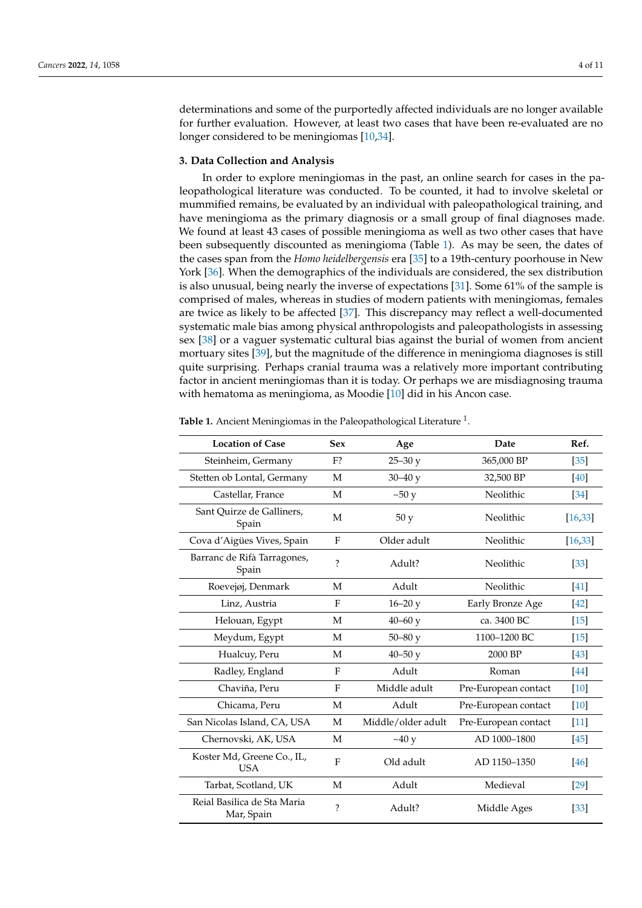determinations and some of the purportedly affected individuals are no longer available for further evaluation. However, at least two cases that have been re-evaluated are no longer considered to be meningiomas [\[10,](#page-10-5)[34\]](#page-10-29).

### **3. Data Collection and Analysis**

In order to explore meningiomas in the past, an online search for cases in the paleopathological literature was conducted. To be counted, it had to involve skeletal or mummified remains, be evaluated by an individual with paleopathological training, and have meningioma as the primary diagnosis or a small group of final diagnoses made. We found at least 43 cases of possible meningioma as well as two other cases that have been subsequently discounted as meningioma (Table [1\)](#page-5-0). As may be seen, the dates of the cases span from the *Homo heidelbergensis* era [\[35\]](#page-10-30) to a 19th-century poorhouse in New York [\[36\]](#page-10-31). When the demographics of the individuals are considered, the sex distribution is also unusual, being nearly the inverse of expectations [\[31\]](#page-10-26). Some 61% of the sample is comprised of males, whereas in studies of modern patients with meningiomas, females are twice as likely to be affected [\[37\]](#page-10-32). This discrepancy may reflect a well-documented systematic male bias among physical anthropologists and paleopathologists in assessing sex [\[38\]](#page-10-33) or a vaguer systematic cultural bias against the burial of women from ancient mortuary sites [\[39\]](#page-11-0), but the magnitude of the difference in meningioma diagnoses is still quite surprising. Perhaps cranial trauma was a relatively more important contributing factor in ancient meningiomas than it is today. Or perhaps we are misdiagnosing trauma with hematoma as meningioma, as Moodie [\[10\]](#page-10-5) did in his Ancon case.

| <b>Location of Case</b>                   | <b>Sex</b>               | Age                | Date                 | Ref.               |
|-------------------------------------------|--------------------------|--------------------|----------------------|--------------------|
| Steinheim, Germany                        | F <sub>2</sub>           | $25 - 30y$         | 365,000 BP           | $[35]$             |
| Stetten ob Lontal, Germany                | М                        | $30 - 40y$         | 32,500 BP            | [40]               |
| Castellar, France                         | M                        | $\sim 50 y$        | Neolithic            | [34]               |
| Sant Quirze de Galliners,<br>Spain        | М                        | 50y                | Neolithic            | [16, 33]           |
| Cova d'Aigües Vives, Spain                | F                        | Older adult        | Neolithic            | [16, 33]           |
| Barranc de Rifà Tarragones,<br>Spain      | $\overline{\mathcal{E}}$ | Adult?             | Neolithic            | $\lceil 33 \rceil$ |
| Roevejøj, Denmark                         | M                        | Adult              | Neolithic            | $\left[41\right]$  |
| Linz, Austria                             | F                        | $16 - 20y$         | Early Bronze Age     | [42]               |
| Helouan, Egypt                            | М                        | $40 - 60$ y        | ca. 3400 BC          | $[15]$             |
| Meydum, Egypt                             | М                        | $50 - 80y$         | 1100-1200 BC         | $[15]$             |
| Hualcuy, Peru                             | М                        | $40 - 50y$         | 2000 BP              | $[43]$             |
| Radley, England                           | F                        | Adult              | Roman                | $[44]$             |
| Chaviña, Peru                             | F                        | Middle adult       | Pre-European contact | [10]               |
| Chicama, Peru                             | M                        | Adult              | Pre-European contact | $[10]$             |
| San Nicolas Island, CA, USA               | М                        | Middle/older adult | Pre-European contact | $[11]$             |
| Chernovski, AK, USA                       | М                        | ~10y               | AD 1000-1800         | $[45]$             |
| Koster Md, Greene Co., IL,<br><b>USA</b>  | $\mathbf{F}$             | Old adult          | AD 1150-1350         | [46]               |
| Tarbat, Scotland, UK                      | М                        | Adult              | Medieval             | $[29]$             |
| Reial Basilica de Sta Maria<br>Mar, Spain | ?                        | Adult?             | Middle Ages          | $[33]$             |

Table 1. Ancient Meningiomas in the Paleopathological Literature <sup>1</sup>.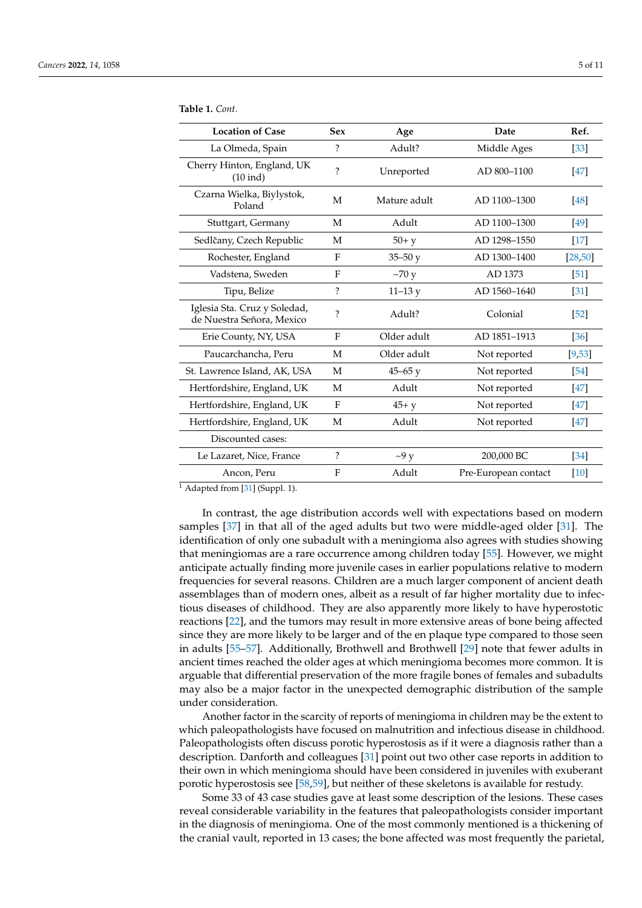| <b>Location of Case</b>                                   | <b>Sex</b>               | Age          | Date                 | Ref.               |
|-----------------------------------------------------------|--------------------------|--------------|----------------------|--------------------|
| La Olmeda, Spain                                          | $\overline{?}$           | Adult?       | Middle Ages          | [33]               |
| Cherry Hinton, England, UK<br>$(10$ ind)                  | $\overline{\mathcal{C}}$ | Unreported   | AD 800-1100          | [47]               |
| Czarna Wielka, Biylystok,<br>Poland                       | M                        | Mature adult | AD 1100-1300         | [48]               |
| Stuttgart, Germany                                        | М                        | Adult        | AD 1100-1300         | [49]               |
| Sedlčany, Czech Republic                                  | M                        | $50+ y$      | AD 1298-1550         | $[17]$             |
| Rochester, England                                        | F                        | $35 - 50y$   | AD 1300-1400         | [28, 50]           |
| Vadstena, Sweden                                          | F                        | $\sim$ 70 y  | AD 1373              | $[51]$             |
| Tipu, Belize                                              | $\overline{\cdot}$       | $11 - 13y$   | AD 1560-1640         | [31]               |
| Iglesia Sta. Cruz y Soledad,<br>de Nuestra Señora, Mexico | $\overline{\mathcal{C}}$ | Adult?       | Colonial             | $\lceil 52 \rceil$ |
| Erie County, NY, USA                                      | F                        | Older adult  | AD 1851-1913         | $\lceil 36 \rceil$ |
| Paucarchancha, Peru                                       | M                        | Older adult  | Not reported         | [9,53]             |
| St. Lawrence Island, AK, USA                              | M                        | $45 - 65$ y  | Not reported         | [54]               |
| Hertfordshire, England, UK                                | M                        | Adult        | Not reported         | [47]               |
| Hertfordshire, England, UK                                | F                        | $45+$ y      | Not reported         | <b>47</b>          |
| Hertfordshire, England, UK                                | M                        | Adult        | Not reported         | <b>47</b>          |
| Discounted cases:                                         |                          |              |                      |                    |
| Le Lazaret, Nice, France                                  | ?                        | $\sim9 y$    | 200,000 BC           | $\left[34\right]$  |
| Ancon, Peru                                               | F                        | Adult        | Pre-European contact | $[10]$             |

<span id="page-5-0"></span>**Table 1.** *Cont.*

 $\overline{1}$  Adapted from [\[31\]](#page-10-26) (Suppl. 1).

In contrast, the age distribution accords well with expectations based on modern samples [\[37\]](#page-10-32) in that all of the aged adults but two were middle-aged older [\[31\]](#page-10-26). The identification of only one subadult with a meningioma also agrees with studies showing that meningiomas are a rare occurrence among children today [\[55\]](#page-11-16). However, we might anticipate actually finding more juvenile cases in earlier populations relative to modern frequencies for several reasons. Children are a much larger component of ancient death assemblages than of modern ones, albeit as a result of far higher mortality due to infectious diseases of childhood. They are also apparently more likely to have hyperostotic reactions [\[22\]](#page-10-17), and the tumors may result in more extensive areas of bone being affected since they are more likely to be larger and of the en plaque type compared to those seen in adults [\[55](#page-11-16)[–57\]](#page-11-17). Additionally, Brothwell and Brothwell [\[29\]](#page-10-24) note that fewer adults in ancient times reached the older ages at which meningioma becomes more common. It is arguable that differential preservation of the more fragile bones of females and subadults may also be a major factor in the unexpected demographic distribution of the sample under consideration.

Another factor in the scarcity of reports of meningioma in children may be the extent to which paleopathologists have focused on malnutrition and infectious disease in childhood. Paleopathologists often discuss porotic hyperostosis as if it were a diagnosis rather than a description. Danforth and colleagues [\[31\]](#page-10-26) point out two other case reports in addition to their own in which meningioma should have been considered in juveniles with exuberant porotic hyperostosis see [\[58](#page-11-18)[,59\]](#page-11-19), but neither of these skeletons is available for restudy.

Some 33 of 43 case studies gave at least some description of the lesions. These cases reveal considerable variability in the features that paleopathologists consider important in the diagnosis of meningioma. One of the most commonly mentioned is a thickening of the cranial vault, reported in 13 cases; the bone affected was most frequently the parietal,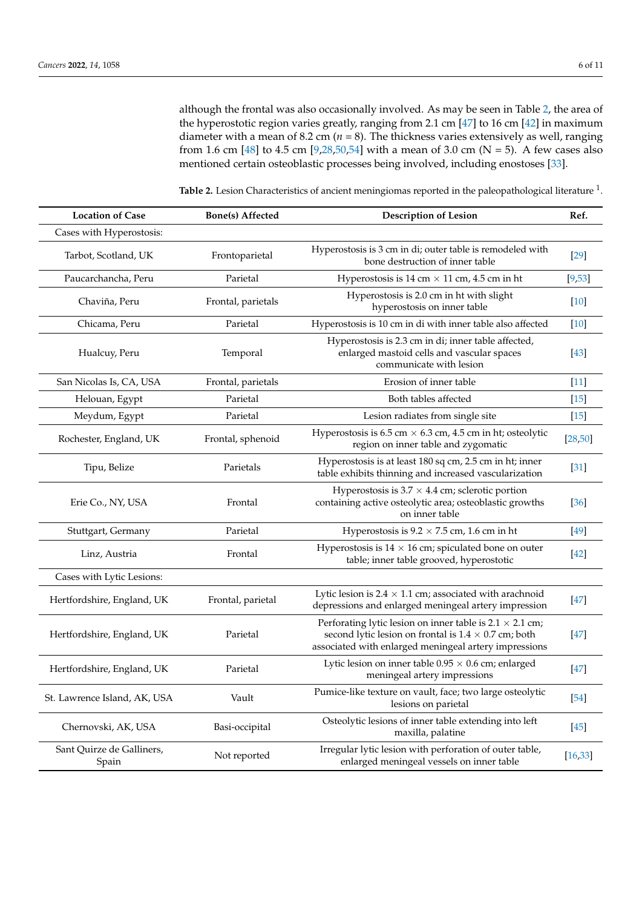although the frontal was also occasionally involved. As may be seen in Table [2,](#page-7-0) the area of the hyperostotic region varies greatly, ranging from 2.1 cm [\[47\]](#page-11-8) to 16 cm [\[42\]](#page-11-3) in maximum diameter with a mean of 8.2 cm (*n* = 8). The thickness varies extensively as well, ranging from 1.6 cm [\[48\]](#page-11-9) to 4.5 cm [\[9,](#page-10-4)[28,](#page-10-23)[50,](#page-11-11)[54\]](#page-11-15) with a mean of 3.0 cm (N = 5). A few cases also mentioned certain osteoblastic processes being involved, including enostoses [\[33\]](#page-10-28).

| <b>Location of Case</b>            | <b>Bone(s)</b> Affected | <b>Description of Lesion</b>                                                                                                                                                            | Ref.     |
|------------------------------------|-------------------------|-----------------------------------------------------------------------------------------------------------------------------------------------------------------------------------------|----------|
| Cases with Hyperostosis:           |                         |                                                                                                                                                                                         |          |
| Tarbot, Scotland, UK               | Frontoparietal          | Hyperostosis is 3 cm in di; outer table is remodeled with<br>bone destruction of inner table                                                                                            | $[29]$   |
| Paucarchancha, Peru                | Parietal                | Hyperostosis is 14 cm $\times$ 11 cm, 4.5 cm in ht                                                                                                                                      | [9,53]   |
| Chaviña, Peru                      | Frontal, parietals      | Hyperostosis is 2.0 cm in ht with slight<br>hyperostosis on inner table                                                                                                                 | $[10]$   |
| Chicama, Peru                      | Parietal                | Hyperostosis is 10 cm in di with inner table also affected                                                                                                                              | $[10]$   |
| Hualcuy, Peru                      | Temporal                | Hyperostosis is 2.3 cm in di; inner table affected,<br>enlarged mastoid cells and vascular spaces<br>communicate with lesion                                                            | $[43]$   |
| San Nicolas Is, CA, USA            | Frontal, parietals      | Erosion of inner table                                                                                                                                                                  | $[11]$   |
| Helouan, Egypt                     | Parietal                | Both tables affected                                                                                                                                                                    | $[15]$   |
| Meydum, Egypt                      | Parietal                | Lesion radiates from single site                                                                                                                                                        | $[15]$   |
| Rochester, England, UK             | Frontal, sphenoid       | Hyperostosis is $6.5$ cm $\times$ $6.3$ cm, $4.5$ cm in ht; osteolytic<br>region on inner table and zygomatic                                                                           | [28, 50] |
| Tipu, Belize                       | Parietals               | Hyperostosis is at least 180 sq cm, 2.5 cm in ht; inner<br>table exhibits thinning and increased vascularization                                                                        | $[31]$   |
| Erie Co., NY, USA                  | Frontal                 | Hyperostosis is $3.7 \times 4.4$ cm; sclerotic portion<br>containing active osteolytic area; osteoblastic growths<br>on inner table                                                     | $[36]$   |
| Stuttgart, Germany                 | Parietal                | Hyperostosis is $9.2 \times 7.5$ cm, 1.6 cm in ht                                                                                                                                       | $[49]$   |
| Linz, Austria                      | Frontal                 | Hyperostosis is $14 \times 16$ cm; spiculated bone on outer<br>table; inner table grooved, hyperostotic                                                                                 | $[42]$   |
| Cases with Lytic Lesions:          |                         |                                                                                                                                                                                         |          |
| Hertfordshire, England, UK         | Frontal, parietal       | Lytic lesion is 2.4 $\times$ 1.1 cm; associated with a<br>rachnoid<br>depressions and enlarged meningeal artery impression                                                              | $[47]$   |
| Hertfordshire, England, UK         | Parietal                | Perforating lytic lesion on inner table is $2.1 \times 2.1$ cm;<br>second lytic lesion on frontal is $1.4 \times 0.7$ cm; both<br>associated with enlarged meningeal artery impressions | $[47]$   |
| Hertfordshire, England, UK         | Parietal                | Lytic lesion on inner table $0.95 \times 0.6$ cm; enlarged<br>meningeal artery impressions                                                                                              | $[47]$   |
| St. Lawrence Island, AK, USA       | Vault                   | Pumice-like texture on vault, face; two large osteolytic<br>lesions on parietal                                                                                                         | $[54]$   |
| Chernovski, AK, USA                | Basi-occipital          | Osteolytic lesions of inner table extending into left<br>maxilla, palatine                                                                                                              | $[45]$   |
| Sant Quirze de Galliners,<br>Spain | Not reported            | Irregular lytic lesion with perforation of outer table,<br>enlarged meningeal vessels on inner table                                                                                    | [16, 33] |

Table 2. Lesion Characteristics of ancient meningiomas reported in the paleopathological literature <sup>1</sup>.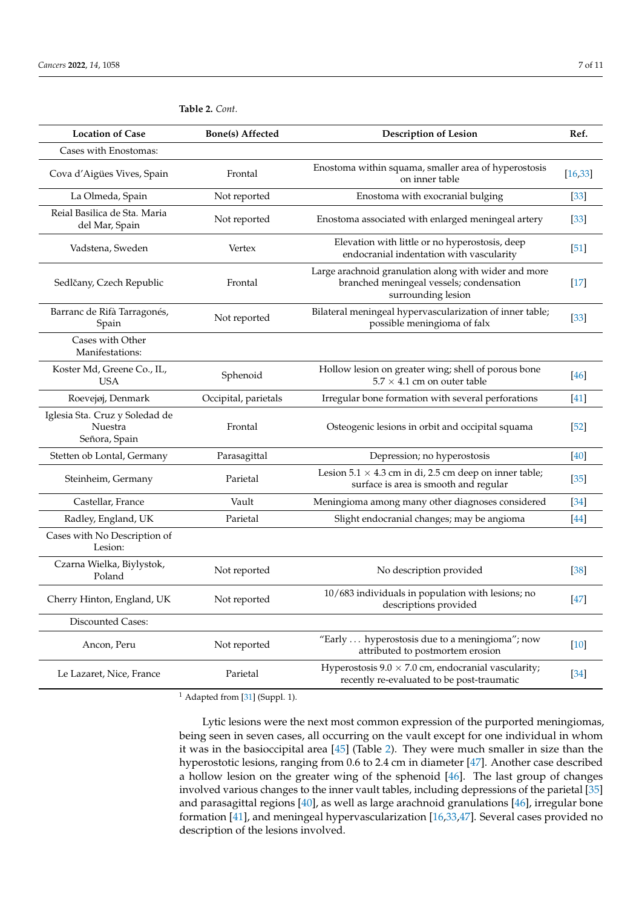| <b>Location of Case</b>                                    | <b>Bone(s)</b> Affected | <b>Description of Lesion</b>                                                                                            | Ref.     |
|------------------------------------------------------------|-------------------------|-------------------------------------------------------------------------------------------------------------------------|----------|
| Cases with Enostomas:                                      |                         |                                                                                                                         |          |
| Cova d'Aigües Vives, Spain                                 | Frontal                 | Enostoma within squama, smaller area of hyperostosis<br>on inner table                                                  | [16, 33] |
| La Olmeda, Spain                                           | Not reported            | Enostoma with exocranial bulging                                                                                        | $[33]$   |
| Reial Basilica de Sta. Maria<br>del Mar, Spain             | Not reported            | Enostoma associated with enlarged meningeal artery                                                                      | $[33]$   |
| Vadstena, Sweden                                           | Vertex                  | Elevation with little or no hyperostosis, deep<br>endocranial indentation with vascularity                              | [51]     |
| Sedlčany, Czech Republic                                   | Frontal                 | Large arachnoid granulation along with wider and more<br>branched meningeal vessels; condensation<br>surrounding lesion | $[17]$   |
| Barranc de Rifà Tarragonés,<br>Spain                       | Not reported            | Bilateral meningeal hypervascularization of inner table;<br>possible meningioma of falx                                 | $[33]$   |
| Cases with Other<br>Manifestations:                        |                         |                                                                                                                         |          |
| Koster Md, Greene Co., IL,<br><b>USA</b>                   | Sphenoid                | Hollow lesion on greater wing; shell of porous bone<br>$5.7 \times 4.1$ cm on outer table                               | $[46]$   |
| Roevejøj, Denmark                                          | Occipital, parietals    | Irregular bone formation with several perforations                                                                      | $[41]$   |
| Iglesia Sta. Cruz y Soledad de<br>Nuestra<br>Señora, Spain | Frontal                 | Osteogenic lesions in orbit and occipital squama                                                                        | $[52]$   |
| Stetten ob Lontal, Germany                                 | Parasagittal            | Depression; no hyperostosis                                                                                             | $[40]$   |
| Steinheim, Germany                                         | Parietal                | Lesion $5.1 \times 4.3$ cm in di, 2.5 cm deep on inner table;<br>surface is area is smooth and regular                  | $[35]$   |
| Castellar, France                                          | Vault                   | Meningioma among many other diagnoses considered                                                                        | $[34]$   |
| Radley, England, UK                                        | Parietal                | Slight endocranial changes; may be angioma                                                                              | $[44]$   |
| Cases with No Description of<br>Lesion:                    |                         |                                                                                                                         |          |
| Czarna Wielka, Biylystok,<br>Poland                        | Not reported            | No description provided                                                                                                 | $[38]$   |
| Cherry Hinton, England, UK                                 | Not reported            | 10/683 individuals in population with lesions; no<br>descriptions provided                                              | $[47]$   |
| Discounted Cases:                                          |                         |                                                                                                                         |          |
| Ancon, Peru                                                | Not reported            | "Early  hyperostosis due to a meningioma"; now<br>attributed to postmortem erosion                                      | $[10]$   |
| Le Lazaret, Nice, France                                   | Parietal                | Hyperostosis $9.0 \times 7.0$ cm, endocranial vascularity;<br>recently re-evaluated to be post-traumatic                | $[34]$   |

<span id="page-7-0"></span>**Table 2.** *Cont.*

 $1$  Adapted from [\[31\]](#page-10-26) (Suppl. 1).

Lytic lesions were the next most common expression of the purported meningiomas, being seen in seven cases, all occurring on the vault except for one individual in whom it was in the basioccipital area [\[45\]](#page-11-6) (Table [2\)](#page-7-0). They were much smaller in size than the hyperostotic lesions, ranging from 0.6 to 2.4 cm in diameter [\[47\]](#page-11-8). Another case described a hollow lesion on the greater wing of the sphenoid [\[46\]](#page-11-7). The last group of changes involved various changes to the inner vault tables, including depressions of the parietal [\[35\]](#page-10-30) and parasagittal regions [\[40\]](#page-11-1), as well as large arachnoid granulations [\[46\]](#page-11-7), irregular bone formation [\[41\]](#page-11-2), and meningeal hypervascularization [\[16](#page-10-11)[,33](#page-10-28)[,47\]](#page-11-8). Several cases provided no description of the lesions involved.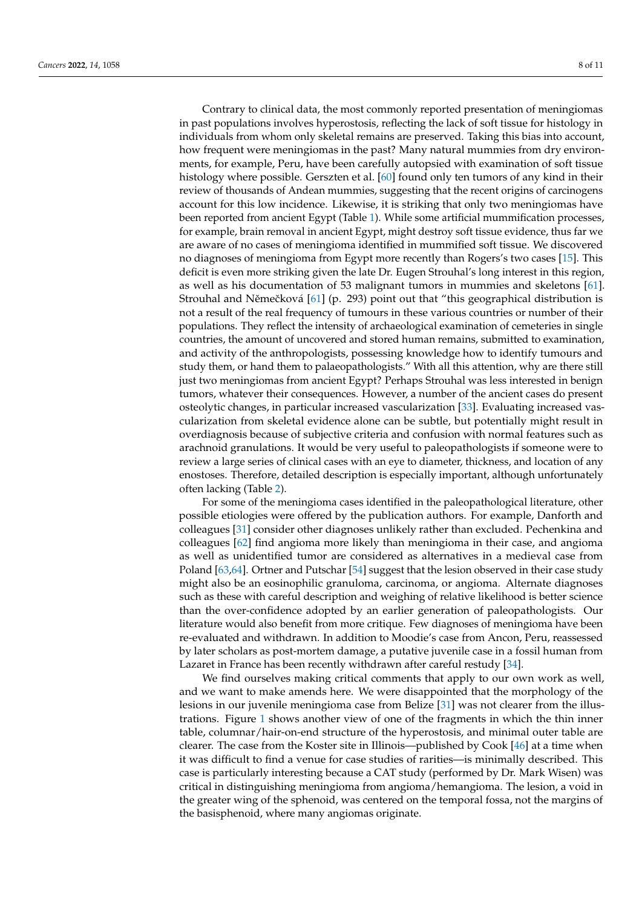Contrary to clinical data, the most commonly reported presentation of meningiomas in past populations involves hyperostosis, reflecting the lack of soft tissue for histology in individuals from whom only skeletal remains are preserved. Taking this bias into account, how frequent were meningiomas in the past? Many natural mummies from dry environments, for example, Peru, have been carefully autopsied with examination of soft tissue histology where possible. Gerszten et al. [\[60\]](#page-11-20) found only ten tumors of any kind in their review of thousands of Andean mummies, suggesting that the recent origins of carcinogens account for this low incidence. Likewise, it is striking that only two meningiomas have been reported from ancient Egypt (Table [1\)](#page-5-0). While some artificial mummification processes, for example, brain removal in ancient Egypt, might destroy soft tissue evidence, thus far we are aware of no cases of meningioma identified in mummified soft tissue. We discovered no diagnoses of meningioma from Egypt more recently than Rogers's two cases [\[15\]](#page-10-10). This deficit is even more striking given the late Dr. Eugen Strouhal's long interest in this region, as well as his documentation of 53 malignant tumors in mummies and skeletons [\[61\]](#page-11-21). Strouhal and Němečková [\[61\]](#page-11-21) (p. 293) point out that "this geographical distribution is not a result of the real frequency of tumours in these various countries or number of their populations. They reflect the intensity of archaeological examination of cemeteries in single countries, the amount of uncovered and stored human remains, submitted to examination, and activity of the anthropologists, possessing knowledge how to identify tumours and study them, or hand them to palaeopathologists." With all this attention, why are there still just two meningiomas from ancient Egypt? Perhaps Strouhal was less interested in benign tumors, whatever their consequences. However, a number of the ancient cases do present osteolytic changes, in particular increased vascularization [\[33\]](#page-10-28). Evaluating increased vascularization from skeletal evidence alone can be subtle, but potentially might result in overdiagnosis because of subjective criteria and confusion with normal features such as arachnoid granulations. It would be very useful to paleopathologists if someone were to review a large series of clinical cases with an eye to diameter, thickness, and location of any enostoses. Therefore, detailed description is especially important, although unfortunately often lacking (Table [2\)](#page-7-0).

For some of the meningioma cases identified in the paleopathological literature, other possible etiologies were offered by the publication authors. For example, Danforth and colleagues [\[31\]](#page-10-26) consider other diagnoses unlikely rather than excluded. Pechenkina and colleagues [\[62\]](#page-11-22) find angioma more likely than meningioma in their case, and angioma as well as unidentified tumor are considered as alternatives in a medieval case from Poland [\[63](#page-11-23)[,64\]](#page-11-24). Ortner and Putschar [\[54\]](#page-11-15) suggest that the lesion observed in their case study might also be an eosinophilic granuloma, carcinoma, or angioma. Alternate diagnoses such as these with careful description and weighing of relative likelihood is better science than the over-confidence adopted by an earlier generation of paleopathologists. Our literature would also benefit from more critique. Few diagnoses of meningioma have been re-evaluated and withdrawn. In addition to Moodie's case from Ancon, Peru, reassessed by later scholars as post-mortem damage, a putative juvenile case in a fossil human from Lazaret in France has been recently withdrawn after careful restudy [\[34\]](#page-10-29).

We find ourselves making critical comments that apply to our own work as well, and we want to make amends here. We were disappointed that the morphology of the lesions in our juvenile meningioma case from Belize [\[31\]](#page-10-26) was not clearer from the illustrations. Figure [1](#page-9-4) shows another view of one of the fragments in which the thin inner table, columnar/hair-on-end structure of the hyperostosis, and minimal outer table are clearer. The case from the Koster site in Illinois—published by Cook [\[46\]](#page-11-7) at a time when it was difficult to find a venue for case studies of rarities—is minimally described. This case is particularly interesting because a CAT study (performed by Dr. Mark Wisen) was critical in distinguishing meningioma from angioma/hemangioma. The lesion, a void in the greater wing of the sphenoid, was centered on the temporal fossa, not the margins of the basisphenoid, where many angiomas originate.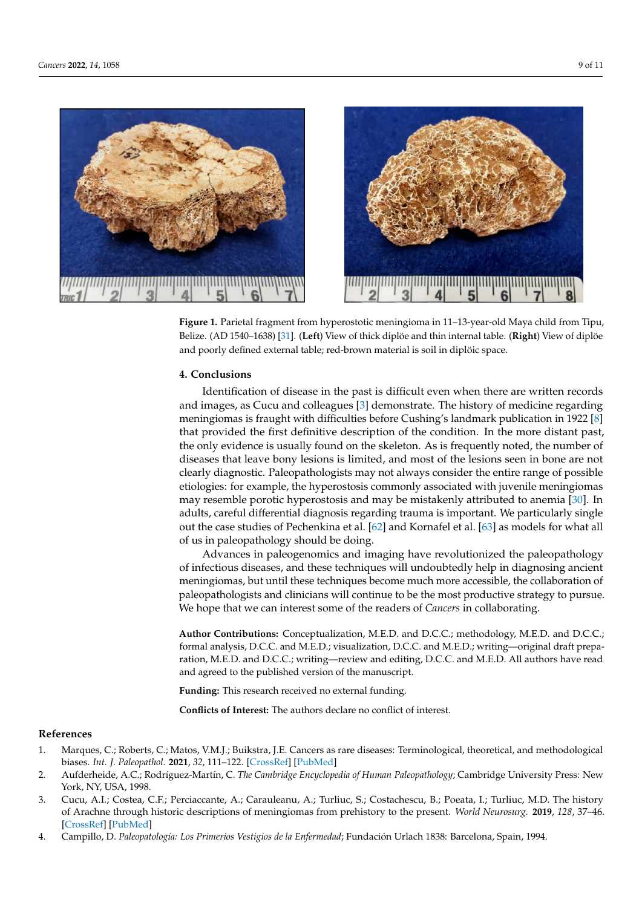

<span id="page-9-4"></span>

**Figure 1.** Parietal fragment from hyperostotic meningioma in 11–13-year-old Maya child from Tipu, **Figure 1.** Parietal fragment from hyperostotic meningioma in 11–13-year-old Maya child from Tipu,<br>Published 1. Parietal 6680 feel 65, 60 km meningioma in 11 km meningioma in 11 km meningio Belize. (AD 1540–1638) [\[31\]](#page-10-26). (**Left**) View of thick diplöe and thin internal table. (**Right**) View of diplöe and poorly defined external table; red-brown material is soil in diplöic space.

## **4. Conclusions 4. Conclusions**

Identification of disease in the past is different when the past is different records  $\mathbf{r}$ Identification of disease in the past is difficult even when there are written records  $\overline{C}$ meningiomas is fraught with difficulties before Cushing's landmark publication in 1922 meningiomas is fraught with difficulties before Cushing's landmark publication in 1922 [\[8\]](#page-10-3) [8] that provided the first definitive description of the condition. In the more distant past, that provided the first definitive description of the condition. In the more distant past, the only evidence is usually found on the skeleton. As is frequently noted, the number of the only evidence is usually found on the skeleton. As is frequently noted, the number of diseases that leave bony lesions is limited, and most of the lesions seen in bone are not diseases that leave bony lesions is limited, and most of the lesions seen in bone are not clearly diagnostic. Paleopathologists may not always consider the entire range of possible clearly diagnostic. Paleopathologists may not always consider the entire range of possible etiologies: for example, the hyperostosis commonly associated with juvenile meningiomas etiologies: for example, the hyperostosis commonly associated with juvenile meningiomas may resemble porotic hyperostosis and may be mistakenly attributed to anemia [30]. In may resemble porotic hyperostosis and may be mistakenly attributed to anemia [\[30\]](#page-10-25). In adults, careful differential diagnosis regarding trauma is important. We particularly single out the case studies of Pechenkina et al.  $[62]$  and Kornafel et al.  $[63]$  as models for what all of us in paleopathology should be doing. and images, as Cucu and colleagues [\[3\]](#page-9-2) demonstrate. The history of medicine regarding

 $\overline{A}$   $\overline{A}$   $\overline{A}$  and  $\overline{B}$  and  $\overline{B}$  of  $\overline{B}$  and imaging have revolutionized the paleopathology infectious diseases, and these techniques will undoubtedly help in diagnosing ancient of infectious diseases, and these techniques will undoubtedly help in diagnosing ancient meningiomas, but until these techniques become much more accessible, the collaboration meningiomas, but until these techniques become much more accessible, the collaboration of paleopathologists and clinicians will continue to be the most productive strategy to pursue. pursue. We hope that we can interest some of the readers of *Cancers* in collaborating. We hope that we can interest some of the readers of *Cancers* in collaborating.

**Author Contributions:** Conceptualization, M.E.D. and D.C.C.; methodology, M.E.D. and D.C.C.; **Author Contributions:** Conceptualization, M.E.D. and D.C.C.; methodology, M.E.D. and D.C.C.; formal analysis, D.C.C. and M.E.D.; visualization, D.C.C. and M.E.D.; writing—original draft preparation, M.E.D. and D.C.C.; writing—review and editing, D.C.C. and M.E.D. All authors have read and agreed to the published version of the manuscript. and agreed to the published version of the manuscript.

Funding: This research received no external funding.

**Conflicts of Interest:** The authors declare no conflict of interest. **Conflicts of Interest:** The authors declare no conflict of interest.

### **References References**

- <span id="page-9-0"></span>1. Marques, C.; Roberts, C.; Matos, V.M.J.; Buikstra, J.E. Cancers as rare diseases: Terminological, theoretical, and methodological biases. Int. J. Paleopathol. **2021**, 32, 111-122. [\[CrossRef\]](http://doi.org/10.1016/j.ijpp.2020.12.005) [\[PubMed\]](http://www.ncbi.nlm.nih.gov/pubmed/33524843)
- <span id="page-9-1"></span>2. Aufderheide, A.C.; Rodríguez-Martín, C. The Cambridge Encyclopedia of Human Paleopathology; Cambridge University Press: New York, NY, USA, 1998.
- <span id="page-9-2"></span>3. Cucu, A.I.; Costea, C.F.; Perciaccante, A.; Carauleanu, A.; Turliuc, S.; Costachescu, B.; Poeata, I.; Turliuc, M.D. The history of Arachne through historic descriptions of meningiomas from prehistory to the present. World Neurosurg. 2019, 128, 37-46. [\[CrossRef\]](http://doi.org/10.1016/j.wneu.2019.04.199) [\[PubMed\]](http://www.ncbi.nlm.nih.gov/pubmed/31048045)
- <span id="page-9-3"></span>4. Campillo, D. Paleopatología: Los Primerios Vestigios de la Enfermedad; Fundación Urlach 1838: Barcelona, Spain, 1994.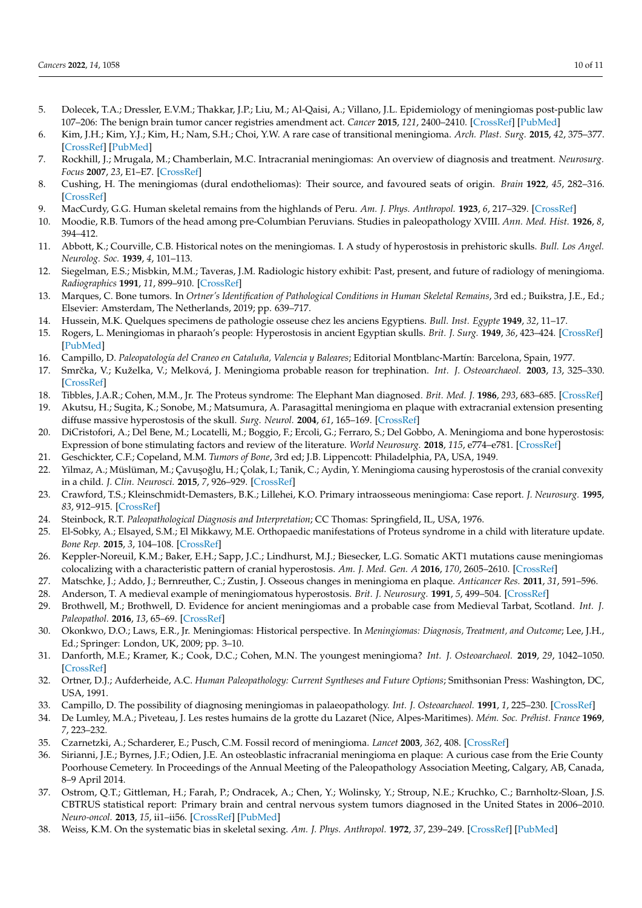- <span id="page-10-0"></span>5. Dolecek, T.A.; Dressler, E.V.M.; Thakkar, J.P.; Liu, M.; Al-Qaisi, A.; Villano, J.L. Epidemiology of meningiomas post-public law 107–206: The benign brain tumor cancer registries amendment act. *Cancer* **2015**, *121*, 2400–2410. [\[CrossRef\]](http://doi.org/10.1002/cncr.29379) [\[PubMed\]](http://www.ncbi.nlm.nih.gov/pubmed/25872752)
- <span id="page-10-1"></span>6. Kim, J.H.; Kim, Y.J.; Kim, H.; Nam, S.H.; Choi, Y.W. A rare case of transitional meningioma. *Arch. Plast. Surg.* **2015**, *42*, 375–377. [\[CrossRef\]](http://doi.org/10.5999/aps.2015.42.3.375) [\[PubMed\]](http://www.ncbi.nlm.nih.gov/pubmed/26015901)
- <span id="page-10-2"></span>7. Rockhill, J.; Mrugala, M.; Chamberlain, M.C. Intracranial meningiomas: An overview of diagnosis and treatment. *Neurosurg. Focus* **2007**, *23*, E1–E7. [\[CrossRef\]](http://doi.org/10.3171/FOC-07/10/E1)
- <span id="page-10-3"></span>8. Cushing, H. The meningiomas (dural endotheliomas): Their source, and favoured seats of origin. *Brain* **1922**, *45*, 282–316. [\[CrossRef\]](http://doi.org/10.1093/brain/45.2.282)
- <span id="page-10-4"></span>9. MacCurdy, G.G. Human skeletal remains from the highlands of Peru. *Am. J. Phys. Anthropol.* **1923**, *6*, 217–329. [\[CrossRef\]](http://doi.org/10.1002/ajpa.1330060302)
- <span id="page-10-5"></span>10. Moodie, R.B. Tumors of the head among pre-Columbian Peruvians. Studies in paleopathology XVIII. *Ann. Med. Hist.* **1926**, *8*, 394–412.
- <span id="page-10-6"></span>11. Abbott, K.; Courville, C.B. Historical notes on the meningiomas. I. A study of hyperostosis in prehistoric skulls. *Bull. Los Angel. Neurolog. Soc.* **1939**, *4*, 101–113.
- <span id="page-10-7"></span>12. Siegelman, E.S.; Misbkin, M.M.; Taveras, J.M. Radiologic history exhibit: Past, present, and future of radiology of meningioma. *Radiographics* **1991**, *11*, 899–910. [\[CrossRef\]](http://doi.org/10.1148/radiographics.11.5.1947324)
- <span id="page-10-8"></span>13. Marques, C. Bone tumors. In *Ortner's Identification of Pathological Conditions in Human Skeletal Remains*, 3rd ed.; Buikstra, J.E., Ed.; Elsevier: Amsterdam, The Netherlands, 2019; pp. 639–717.
- <span id="page-10-9"></span>14. Hussein, M.K. Quelques specimens de pathologie osseuse chez les anciens Egyptiens. *Bull. Inst. Egypte* **1949**, *32*, 11–17.
- <span id="page-10-10"></span>15. Rogers, L. Meningiomas in pharaoh's people: Hyperostosis in ancient Egyptian skulls. *Brit. J. Surg.* **1949**, *36*, 423–424. [\[CrossRef\]](http://doi.org/10.1002/bjs.18003614421) [\[PubMed\]](http://www.ncbi.nlm.nih.gov/pubmed/18129364)
- <span id="page-10-11"></span>16. Campillo, D. *Paleopatología del Craneo en Cataluña, Valencia y Baleares*; Editorial Montblanc-Martín: Barcelona, Spain, 1977.
- <span id="page-10-12"></span>17. Smrˇcka, V.; Kuželka, V.; Melková, J. Meningioma probable reason for trephination. *Int. J. Osteoarchaeol.* **2003**, *13*, 325–330. [\[CrossRef\]](http://doi.org/10.1002/oa.706)
- <span id="page-10-13"></span>18. Tibbles, J.A.R.; Cohen, M.M., Jr. The Proteus syndrome: The Elephant Man diagnosed. *Brit. Med. J.* **1986**, *293*, 683–685. [\[CrossRef\]](http://doi.org/10.1136/bmj.293.6548.683)
- <span id="page-10-14"></span>19. Akutsu, H.; Sugita, K.; Sonobe, M.; Matsumura, A. Parasagittal meningioma en plaque with extracranial extension presenting diffuse massive hyperostosis of the skull. *Surg. Neurol.* **2004**, *61*, 165–169. [\[CrossRef\]](http://doi.org/10.1016/S0090-3019(03)00521-4)
- <span id="page-10-15"></span>20. DiCristofori, A.; Del Bene, M.; Locatelli, M.; Boggio, F.; Ercoli, G.; Ferraro, S.; Del Gobbo, A. Meningioma and bone hyperostosis: Expression of bone stimulating factors and review of the literature. *World Neurosurg.* **2018**, *115*, e774–e781. [\[CrossRef\]](http://doi.org/10.1016/j.wneu.2018.04.176)
- <span id="page-10-16"></span>21. Geschickter, C.F.; Copeland, M.M. *Tumors of Bone*, 3rd ed; J.B. Lippencott: Philadelphia, PA, USA, 1949.
- <span id="page-10-17"></span>22. Yilmaz, A.; Müslüman, M.; Çavuşoğlu, H.; Çolak, I.; Tanik, C.; Aydin, Y. Meningioma causing hyperostosis of the cranial convexity in a child. *J. Clin. Neurosci.* **2015**, *7*, 926–929. [\[CrossRef\]](http://doi.org/10.1016/j.jocn.2009.11.008)
- <span id="page-10-18"></span>23. Crawford, T.S.; Kleinschmidt-Demasters, B.K.; Lillehei, K.O. Primary intraosseous meningioma: Case report. *J. Neurosurg.* **1995**, *83*, 912–915. [\[CrossRef\]](http://doi.org/10.3171/jns.1995.83.5.0912)
- <span id="page-10-19"></span>24. Steinbock, R.T. *Paleopathological Diagnosis and Interpretation*; CC Thomas: Springfield, IL, USA, 1976.
- <span id="page-10-20"></span>25. El-Sobky, A.; Elsayed, S.M.; El Mikkawy, M.E. Orthopaedic manifestations of Proteus syndrome in a child with literature update. *Bone Rep.* **2015**, *3*, 104–108. [\[CrossRef\]](http://doi.org/10.1016/j.bonr.2015.09.004)
- <span id="page-10-21"></span>26. Keppler-Noreuil, K.M.; Baker, E.H.; Sapp, J.C.; Lindhurst, M.J.; Biesecker, L.G. Somatic AKT1 mutations cause meningiomas colocalizing with a characteristic pattern of cranial hyperostosis. *Am. J. Med. Gen. A* **2016**, *170*, 2605–2610. [\[CrossRef\]](http://doi.org/10.1002/ajmg.a.37737)
- <span id="page-10-22"></span>27. Matschke, J.; Addo, J.; Bernreuther, C.; Zustin, J. Osseous changes in meningioma en plaque. *Anticancer Res.* **2011**, *31*, 591–596.
- <span id="page-10-23"></span>28. Anderson, T. A medieval example of meningiomatous hyperostosis. *Brit. J. Neurosurg.* **1991**, *5*, 499–504. [\[CrossRef\]](http://doi.org/10.3109/02688699108998479)
- <span id="page-10-24"></span>29. Brothwell, M.; Brothwell, D. Evidence for ancient meningiomas and a probable case from Medieval Tarbat, Scotland. *Int. J. Paleopathol.* **2016**, *13*, 65–69. [\[CrossRef\]](http://doi.org/10.1016/j.ijpp.2016.01.004)
- <span id="page-10-25"></span>30. Okonkwo, D.O.; Laws, E.R., Jr. Meningiomas: Historical perspective. In *Meningiomas: Diagnosis, Treatment, and Outcome*; Lee, J.H., Ed.; Springer: London, UK, 2009; pp. 3–10.
- <span id="page-10-26"></span>31. Danforth, M.E.; Kramer, K.; Cook, D.C.; Cohen, M.N. The youngest meningioma? *Int. J. Osteoarchaeol.* **2019**, *29*, 1042–1050. [\[CrossRef\]](http://doi.org/10.1002/oa.2817)
- <span id="page-10-27"></span>32. Ortner, D.J.; Aufderheide, A.C. *Human Paleopathology: Current Syntheses and Future Options*; Smithsonian Press: Washington, DC, USA, 1991.
- <span id="page-10-28"></span>33. Campillo, D. The possibility of diagnosing meningiomas in palaeopathology. *Int. J. Osteoarchaeol.* **1991**, *1*, 225–230. [\[CrossRef\]](http://doi.org/10.1002/oa.1390010315)
- <span id="page-10-29"></span>34. De Lumley, M.A.; Piveteau, J. Les restes humains de la grotte du Lazaret (Nice, Alpes-Maritimes). *Mém. Soc. Préhist. France* **1969**, *7*, 223–232.
- <span id="page-10-30"></span>35. Czarnetzki, A.; Scharderer, E.; Pusch, C.M. Fossil record of meningioma. *Lancet* **2003**, *362*, 408. [\[CrossRef\]](http://doi.org/10.1016/S0140-6736(03)14044-5)
- <span id="page-10-31"></span>36. Sirianni, J.E.; Byrnes, J.F.; Odien, J.E. An osteoblastic infracranial meningioma en plaque: A curious case from the Erie County Poorhouse Cemetery. In Proceedings of the Annual Meeting of the Paleopathology Association Meeting, Calgary, AB, Canada, 8–9 April 2014.
- <span id="page-10-32"></span>37. Ostrom, Q.T.; Gittleman, H.; Farah, P.; Ondracek, A.; Chen, Y.; Wolinsky, Y.; Stroup, N.E.; Kruchko, C.; Barnholtz-Sloan, J.S. CBTRUS statistical report: Primary brain and central nervous system tumors diagnosed in the United States in 2006–2010. *Neuro-oncol.* **2013**, *15*, ii1–ii56. [\[CrossRef\]](http://doi.org/10.1093/neuonc/not151) [\[PubMed\]](http://www.ncbi.nlm.nih.gov/pubmed/24137015)
- <span id="page-10-33"></span>38. Weiss, K.M. On the systematic bias in skeletal sexing. *Am. J. Phys. Anthropol.* **1972**, *37*, 239–249. [\[CrossRef\]](http://doi.org/10.1002/ajpa.1330370208) [\[PubMed\]](http://www.ncbi.nlm.nih.gov/pubmed/5085497)